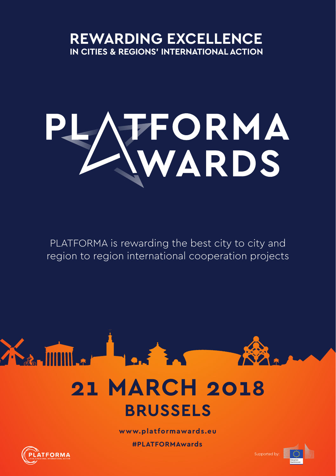# **REWARDING EXCELLENCE IN CITIES & REGIONS' INTERNATIONAL ACTION**

# PLATFORMA

PLATFORMA is rewarding the best city to city and region to region international cooperation projects

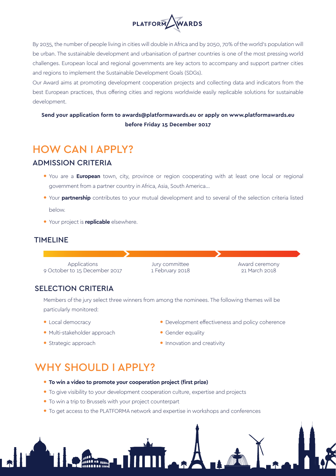

By 2035, the number of people living in cities will double in Africa and by 2050, 70% of the world's population will be urban. The sustainable development and urbanisation of partner countries is one of the most pressing world challenges. European local and regional governments are key actors to accompany and support partner cities and regions to implement the Sustainable Development Goals (SDGs).

Our Award aims at promoting development cooperation projects and collecting data and indicators from the best European practices, thus offering cities and regions worldwide easily replicable solutions for sustainable development.

#### **Send your application form to awards@platformawards.eu or apply on www.platformawards.eu before Friday 15 December 2017**

## HOW CAN I APPLY?

#### ADMISSION CRITERIA

- You are a **European** town, city, province or region cooperating with at least one local or regional government from a partner country in Africa, Asia, South America...
- Your **partnership** contributes to your mutual development and to several of the selection criteria listed below.
- Your project is **replicable** elsewhere.

#### TIMELINE

Applications 9 October to 15 December 2017 Jury committee 1 February 2018 Award ceremony 21 March 2018

#### SELECTION CRITERIA

Members of the jury select three winners from among the nominees. The following themes will be particularly monitored:

- Local democracy
- Multi-stakeholder approach
- Gender equality

• Development effectiveness and policy coherence

• Strategic approach

• Innovation and creativity

## WHY SHOULD LAPPLY?

- **To win a video to promote your cooperation project (first prize)**
- To give visibility to your development cooperation culture, expertise and projects
- To win a trip to Brussels with your project counterpart
- To get access to the PLATFORMA network and expertise in workshops and conferences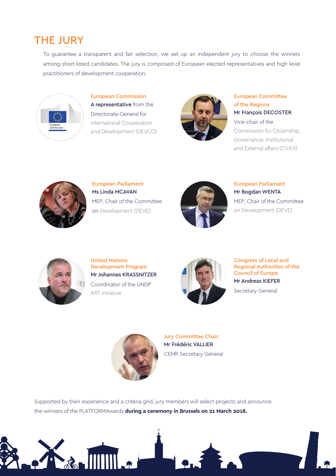# **THE JURY**

To guarantee a transparent and fair selection, we set up an independent jury to choose the winners among short-listed candidates. The jury is composed of European elected representatives and high level practitioners of development cooperation:



European Commission A representative from the Directorate-General for International Cooperation and Development (DEVCO)



European Committee of the Regions Mr François DECOSTER Vice-chair of the Commission for Citizenship, Governance, Institutional

and External affairs (CIVEX)



European Parliament Ms Linda MCAVAN MEP, Chair of the Committee on Development (DEVE)



European Parliamant Mr Bogdan WENTA MEP, Chair of the Committee on Development (DEVE)



United Nations Development Program Mr Johannes KRASSNITZER Coordinator of the UNDP ART initiative



Congress of Local and Regional Authorities of the Council of Europe Mr Andreas KIEFER

Secretary General



Jury Committee Chair: Mr Frédéric VALLIER CEMR Secretary General

Supported by their experience and a criteria grid, jury members will select projects and announce the winners of the PLATFORMAwards **during a ceremony in Brussels on 21 March 2018.**